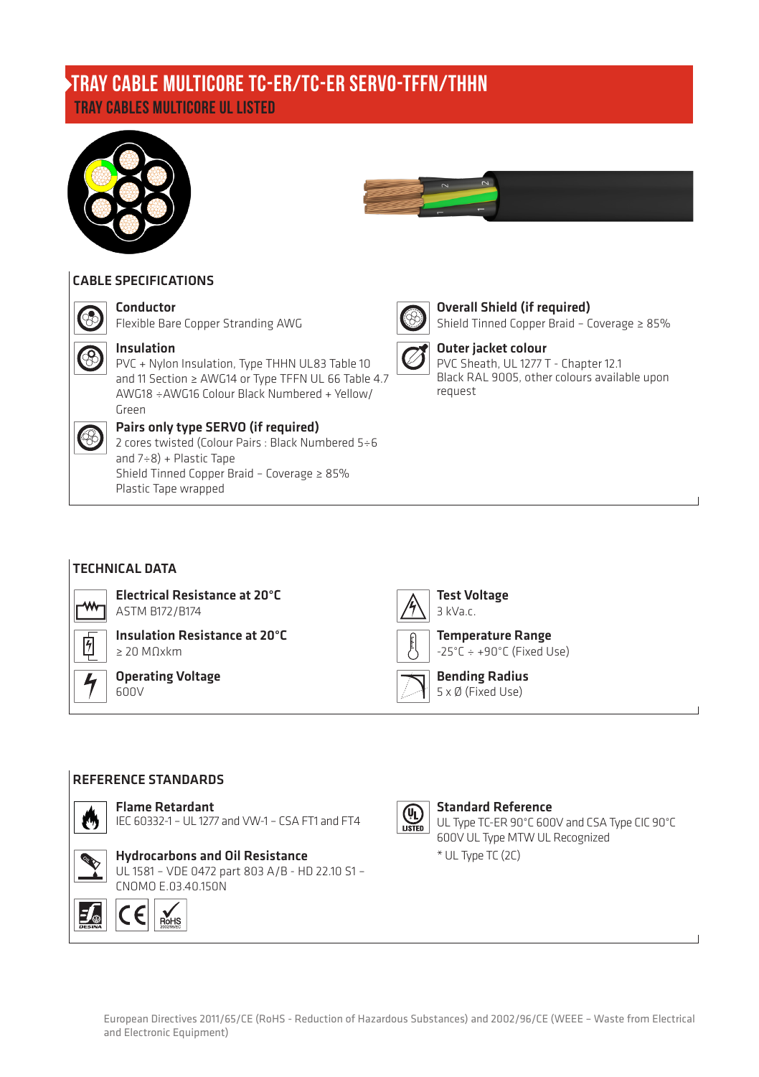# TRAY CABLES MULTICORE UL LISTED TRAY CABLE MULTICORE TC-ER/TC-ER SERVO-TFFN/THHN





# CABLE SPECIFICATIONS Conductor



### Insulation

PVC + Nylon Insulation, Type THHN UL83 Table 10 and 11 Section ≥ AWG14 or Type TFFN UL 66 Table 4.7 AWG18 ÷AWG16 Colour Black Numbered + Yellow/ Green



## Pairs only type SERVO (if required)

Flexible Bare Copper Stranding AWG

2 cores twisted (Colour Pairs : Black Numbered 5÷6 and  $7 ÷ 8$ ) + Plastic Tape Shield Tinned Copper Braid – Coverage ≥ 85% Plastic Tape wrapped



# Overall Shield (if required)

Shield Tinned Copper Braid – Coverage ≥ 85%



#### Outer jacket colour PVC Sheath, UL 1277 T - Chapter 12.1

Black RAL 9005, other colours available upon request

# TECHNICAL DATA

Electrical Resistance at 20°C ASTM B172/B174



Insulation Resistance at 20°C ≥ 20 MΩxkm

Operating Voltage  $600V$ 



Temperature Range  $-25^{\circ}$ C  $\div$  +90 $^{\circ}$ C (Fixed Use)

Bending Radius 5 x Ø (Fixed Use)

#### REFERENCE STANDARDS



#### Flame Retardant

IEC 60332-1 – UL 1277 and VW-1 – CSA FT1 and FT4

# Hydrocarbons and Oil Resistance

UL 1581 – VDE 0472 part 803 A/B - HD 22.10 S1 – CNOMO E.03.40.150N





#### Standard Reference UL Type TC-ER 90°C 600V and CSA Type CIC 90°C 600V UL Type MTW UL Recognized \* UL Type TC (2C)

European Directives 2011/65/CE (RoHS - Reduction of Hazardous Substances) and 2002/96/CE (WEEE – Waste from Electrical and Electronic Equipment)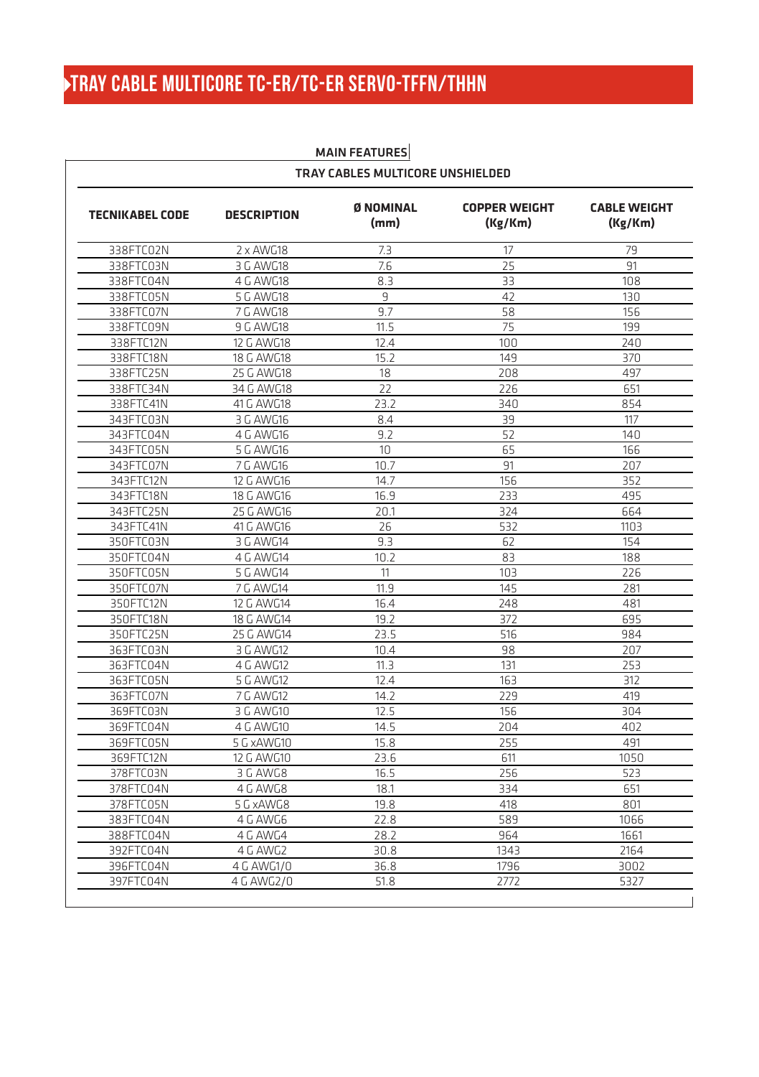# TRAY CABLE MULTICORE TC-ER/TC-ER SERVO-TFFN/THHN

| <b>TECNIKABEL CODE</b> | <b>DESCRIPTION</b> | <b>Ø NOMINAL</b><br>(mm) | <b>COPPER WEIGHT</b><br>(Kg/Km) | <b>CABLE WEIGHT</b><br>(Kg/Km) |
|------------------------|--------------------|--------------------------|---------------------------------|--------------------------------|
| 338FTC02N              | $2 \times$ AWG18   | 7.3                      | 17                              | 79                             |
| 338FTC03N              | 3 G AWG18          | 7.6                      | 25                              | 91                             |
| 338FTC04N              | 4 G AWG18          | 8.3                      | 33                              | 108                            |
| 338FTC05N              | 5 G AWG18          | 9                        | 42                              | 130                            |
| 338FTC07N              | 7 G AWG18          | 9.7                      | 58                              | 156                            |
| 338FTC09N              | 9 G AWG18          | 11.5                     | 75                              | 199                            |
| 338FTC12N              | 12 G AWG18         | 12.4                     | 100                             | 240                            |
| 338FTC18N              | 18 G AWG18         | 15.2                     | 149                             | 370                            |
| 338FTC25N              | 25 G AWG18         | 18                       | 208                             | 497                            |
| 338FTC34N              | 34 G AWG18         | 22                       | 226                             | 651                            |
| 338FTC41N              | 41 G AWG18         | 23.2                     | 340                             | 854                            |
| 343FTC03N              | 3 G AWG16          | 8.4                      | 39                              | 117                            |
| 343FTC04N              | 4 G AWG16          | 9.2                      | 52                              | 140                            |
| 343FTC05N              | 5 G AWG16          | 10                       | 65                              | 166                            |
| 343FTC07N              | 7 G AWG16          | 10.7                     | 91                              | 207                            |
| 343FTC12N              | 12 G AWG16         | 14.7                     | 156                             | 352                            |
| 343FTC18N              | 18 G AWG16         | 16.9                     | 233                             | 495                            |
| 343FTC25N              | 25 G AWG16         | 20.1                     | 324                             | 664                            |
| 343FTC41N              | 41 G AWG16         | 26                       | 532                             | 1103                           |
| 350FTC03N              | 3 G AWG14          | 9.3                      | 62                              | 154                            |
| 350FTC04N              | 4 G AWG14          | 10.2                     | 83                              | 188                            |
| 350FTC05N              | 5 G AWG14          | 11                       | 103                             | 226                            |
| 350FTC07N              | 7 G AWG14          | 11.9                     | 145                             | 281                            |
| 350FTC12N              | 12 G AWG14         | 16.4                     | 248                             | 481                            |
| 350FTC18N              | 18 G AWG14         | 19.2                     | 372                             | 695                            |
| 350FTC25N              | 25 G AWG14         | 23.5                     | 516                             | 984                            |
| 363FTC03N              | 3 G AWG12          | 10.4                     | 98                              | 207                            |
| 363FTC04N              | 4 G AWG12          | 11.3                     | 131                             | 253                            |
| 363FTC05N              | 5 G AWG12          | 12.4                     | 163                             | 312                            |
| 363FTC07N              | 7 G AWG12          | 14.7                     | 229                             | 419                            |
| 369FTC03N              | 3 G AWG10          | 12.5                     | 156                             | 304                            |
| 369FTC04N              | 4 G AWG10          | 14.5                     | 204                             | 402                            |
| 369FTC05N              | 5 G xAWG10         | 15.8                     | 255                             | 491                            |
| 369FTC12N              | 12 G AWG10         | 23.6                     | 611                             | 1050                           |
| 378FTC03N              | 3 G AWG8           | 16.5                     | 256                             | 523                            |
| 378FTC04N              | 4 G AWG8           | 18.1                     | 334                             | 651                            |
| 378FTC05N              | 5 G xAWG8          | 19.8                     | 418                             | 801                            |
| 383FTC04N              | 4 G AWG6           | 22.8                     | 589                             | 1066                           |
| 388FTC04N              | 4 G AWG4           | 28.2                     | 964                             | 1661                           |
| 392FTC04N              | 4 G AWG2           | 30.8                     | 1343                            | 2164                           |
| 396FTC04N              | 4 G AWG1/0         | 36.8                     | 1796                            | 3002                           |
| 397FTC04N              | 4 G AWG2/0         | 51.8                     | 2772                            | 5327                           |

### MAIN FEATURES TRAY CABLES MULTICORE UNSHIELDED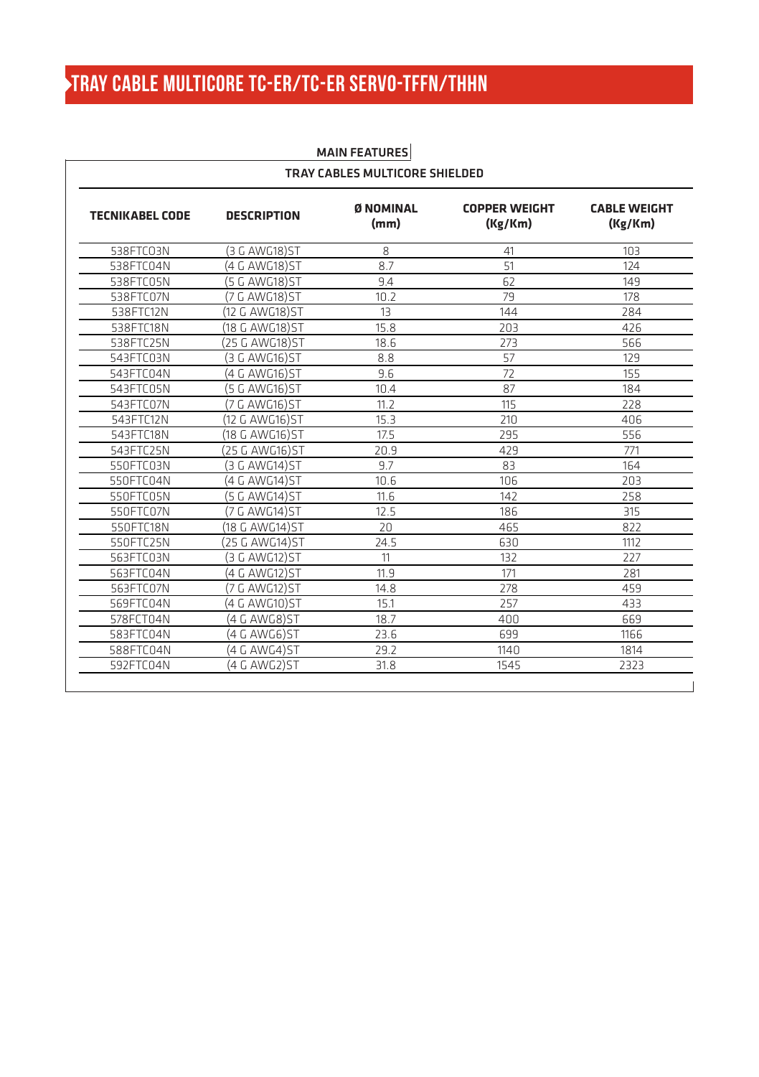# TRAY CABLE MULTICORE TC-ER/TC-ER SERVO-TFFN/THHN

| <b>TECNIKABEL CODE</b> | <b>DESCRIPTION</b> | Ø NOMINAL<br>(mm) | <b>COPPER WEIGHT</b><br>(Kg/Km) | <b>CABLE WEIGHT</b><br>(Kg/Km) |
|------------------------|--------------------|-------------------|---------------------------------|--------------------------------|
| 538FTCO3N              | (3 G AWG18) ST     | 8                 | 41                              | 103                            |
| 538FTC04N              | (4 G AWG18) ST     | 8.7               | 51                              | 124                            |
| 538FTC05N              | (5 G AWG18)ST      | 9.4               | 62                              | 149                            |
| 538FTC07N              | (7 G AWG18)ST      | 10.2              | 79                              | 178                            |
| 538FTC12N              | (12 G AWG18) ST    | 13                | 144                             | 284                            |
| 538FTC18N              | (18 G AWG18)ST     | 15.8              | 203                             | 426                            |
| 538FTC25N              | (25 G AWG18)ST     | 18.6              | 273                             | 566                            |
| 543FTC03N              | (3 G AWG16)ST      | 8.8               | 57                              | 129                            |
| 543FTC04N              | (4 G AWG16) ST     | 9.6               | 72                              | 155                            |
| 543FTC05N              | (5 G AWG16) ST     | 10.4              | 87                              | 184                            |
| 543FTC07N              | (7 G AWG16)ST      | 11.7              | 115                             | 228                            |
| 543FTC12N              | (12 G AWG16) ST    | 15.3              | 210                             | 406                            |
| 543FTC18N              | (18 G AWG16) ST    | 17.5              | 295                             | 556                            |
| 543FTC25N              | (25 G AWG16)ST     | 20.9              | 429                             | 771                            |
| 550FTC03N              | (3 G AWG14)ST      | 9.7               | 83                              | 164                            |
| 550FTC04N              | (4 G AWG14)ST      | 10.6              | 106                             | 203                            |
| 550FTC05N              | (5 G AWG14)ST      | 11.6              | 147                             | 258                            |
| 550FTC07N              | (7 G AWG14)ST      | 12.5              | 186                             | 315                            |
| 550FTC18N              | (18 G AWG14) ST    | 20                | 465                             | 822                            |
| 550FTC25N              | (25 G AWG14) ST    | 24.5              | 630                             | 1112                           |
| 563FTC03N              | (3 G AWG12)ST      | 11                | 132                             | 227                            |
| 563FTC04N              | (4 G AWG12)ST      | 11.9              | 171                             | 281                            |
| 563FTC07N              | (7 G AWG12) ST     | 14.8              | 278                             | 459                            |
| 569FTC04N              | (4 G AWG10)ST      | 15.1              | 257                             | 433                            |
| 578FCT04N              | (4 G AWG8)ST       | 18.7              | 400                             | 669                            |
| 583FTC04N              | (4 G AWG6)ST       | 23.6              | 699                             | 1166                           |
| 588FTC04N              | (4 G AWG4)ST       | 29.2              | 1140                            | 1814                           |
| 592FTC04N              | (4 G AWG2)ST       | 31.8              | 1545                            | 2323                           |

### MAIN FEATURES TRAY CABLES MULTICORE SHIELDED